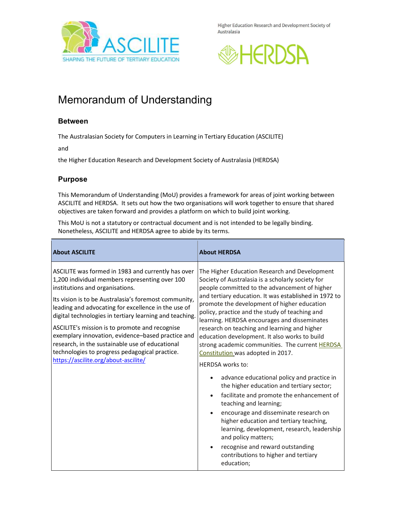

Higher Education Research and Development Society of Australasia



# Memorandum of Understanding

# Between

The Australasian Society for Computers in Learning in Tertiary Education (ASCILITE)

and

the Higher Education Research and Development Society of Australasia (HERDSA)

# Purpose

This Memorandum of Understanding (MoU) provides a framework for areas of joint working between ASCILITE and HERDSA. It sets out how the two organisations will work together to ensure that shared objectives are taken forward and provides a platform on which to build joint working.

This MoU is not a statutory or contractual document and is not intended to be legally binding. Nonetheless, ASCILITE and HERDSA agree to abide by its terms.

| <b>About ASCILITE</b>                                                                                                                                                                                                                                                                                                                                                                                                                                                                                                                                                  | <b>About HERDSA</b>                                                                                                                                                                                                                                                                                                                                                                                                                                                                                                                                                                                                                                                                                                                                                                                                                                                                                                                                                                                                  |
|------------------------------------------------------------------------------------------------------------------------------------------------------------------------------------------------------------------------------------------------------------------------------------------------------------------------------------------------------------------------------------------------------------------------------------------------------------------------------------------------------------------------------------------------------------------------|----------------------------------------------------------------------------------------------------------------------------------------------------------------------------------------------------------------------------------------------------------------------------------------------------------------------------------------------------------------------------------------------------------------------------------------------------------------------------------------------------------------------------------------------------------------------------------------------------------------------------------------------------------------------------------------------------------------------------------------------------------------------------------------------------------------------------------------------------------------------------------------------------------------------------------------------------------------------------------------------------------------------|
| ASCILITE was formed in 1983 and currently has over<br>1,200 individual members representing over 100<br>institutions and organisations.<br>Its vision is to be Australasia's foremost community,<br>leading and advocating for excellence in the use of<br>digital technologies in tertiary learning and teaching.<br>ASCILITE's mission is to promote and recognise<br>exemplary innovation, evidence-based practice and<br>research, in the sustainable use of educational<br>technologies to progress pedagogical practice.<br>https://ascilite.org/about-ascilite/ | The Higher Education Research and Development<br>Society of Australasia is a scholarly society for<br>people committed to the advancement of higher<br>and tertiary education. It was established in 1972 to<br>promote the development of higher education<br>policy, practice and the study of teaching and<br>learning. HERDSA encourages and disseminates<br>research on teaching and learning and higher<br>education development. It also works to build<br>strong academic communities. The current HERDSA<br>Constitution was adopted in 2017.<br><b>HERDSA</b> works to:<br>advance educational policy and practice in<br>the higher education and tertiary sector;<br>facilitate and promote the enhancement of<br>$\bullet$<br>teaching and learning;<br>encourage and disseminate research on<br>higher education and tertiary teaching,<br>learning, development, research, leadership<br>and policy matters;<br>recognise and reward outstanding<br>contributions to higher and tertiary<br>education; |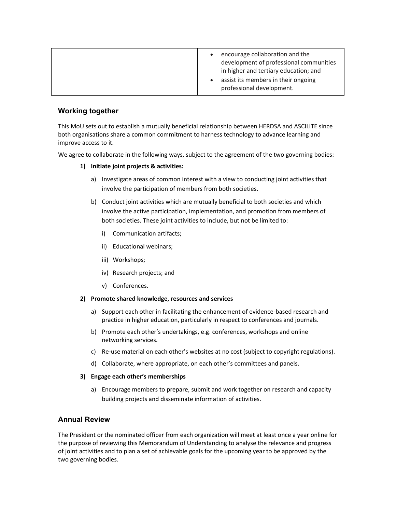|  | encourage collaboration and the<br>development of professional communities<br>in higher and tertiary education; and<br>assist its members in their ongoing<br>professional development. |
|--|-----------------------------------------------------------------------------------------------------------------------------------------------------------------------------------------|
|--|-----------------------------------------------------------------------------------------------------------------------------------------------------------------------------------------|

## Working together

This MoU sets out to establish a mutually beneficial relationship between HERDSA and ASCILITE since both organisations share a common commitment to harness technology to advance learning and improve access to it.

We agree to collaborate in the following ways, subject to the agreement of the two governing bodies:

#### 1) Initiate joint projects & activities:

- a) Investigate areas of common interest with a view to conducting joint activities that involve the participation of members from both societies.
- b) Conduct joint activities which are mutually beneficial to both societies and which involve the active participation, implementation, and promotion from members of both societies. These joint activities to include, but not be limited to:
	- i) Communication artifacts;
	- ii) Educational webinars;
	- iii) Workshops;
	- iv) Research projects; and
	- v) Conferences.

#### 2) Promote shared knowledge, resources and services

- a) Support each other in facilitating the enhancement of evidence-based research and practice in higher education, particularly in respect to conferences and journals.
- b) Promote each other's undertakings, e.g. conferences, workshops and online networking services.
- c) Re-use material on each other's websites at no cost (subject to copyright regulations).
- d) Collaborate, where appropriate, on each other's committees and panels.

#### 3) Engage each other's memberships

a) Encourage members to prepare, submit and work together on research and capacity building projects and disseminate information of activities.

### Annual Review

The President or the nominated officer from each organization will meet at least once a year online for the purpose of reviewing this Memorandum of Understanding to analyse the relevance and progress of joint activities and to plan a set of achievable goals for the upcoming year to be approved by the two governing bodies.